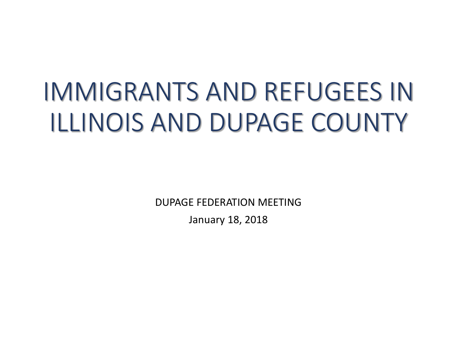# IMMIGRANTS AND REFUGEES IN ILLINOIS AND DUPAGE COUNTY

DUPAGE FEDERATION MEETING

January 18, 2018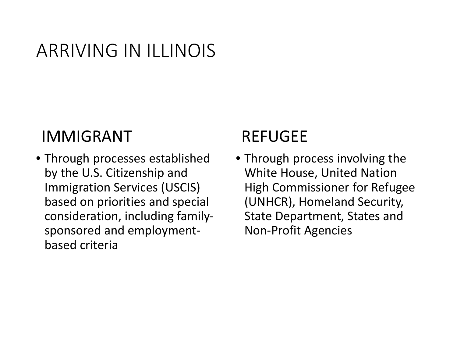#### ARRIVING IN ILLINOIS

#### IMMIGRANT

• Through processes established by the U.S. Citizenship and Immigration Services (USCIS) based on priorities and special consideration, including familysponsored and employmentbased criteria

#### REFUGEE

• Through process involving the White House, United Nation High Commissioner for Refugee (UNHCR), Homeland Security, State Department, States and Non-Profit Agencies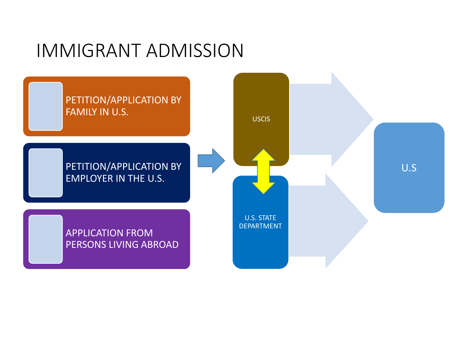#### IMMIGRANT ADMISSION

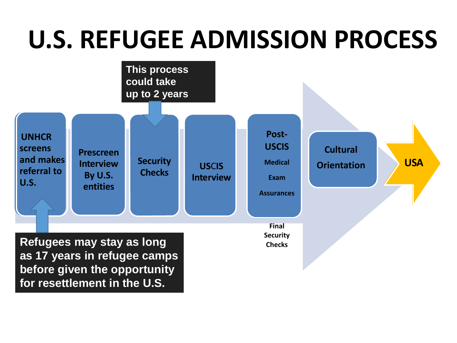# **U.S. REFUGEE ADMISSION PROCESS**

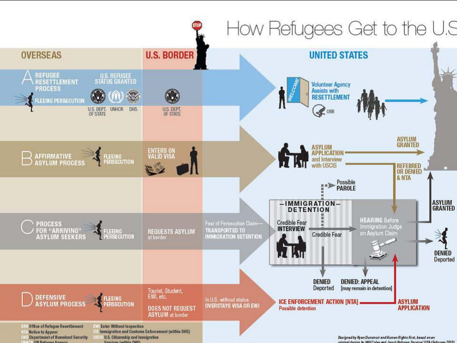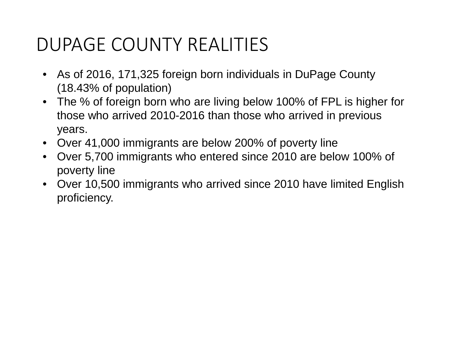- As of 2016, 171,325 foreign born individuals in DuPage County (18.43% of population)
- The % of foreign born who are living below 100% of FPL is higher for those who arrived 2010-2016 than those who arrived in previous years.
- Over 41,000 immigrants are below 200% of poverty line
- Over 5,700 immigrants who entered since 2010 are below 100% of poverty line
- Over 10,500 immigrants who arrived since 2010 have limited English proficiency.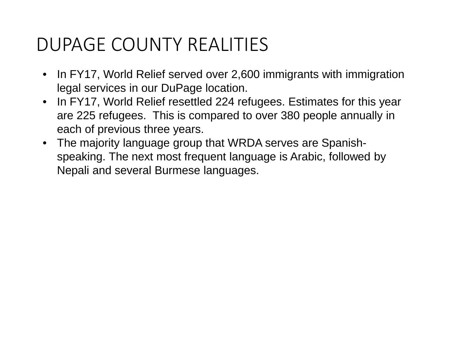- In FY17, World Relief served over 2,600 immigrants with immigration legal services in our DuPage location.
- In FY17, World Relief resettled 224 refugees. Estimates for this year are 225 refugees. This is compared to over 380 people annually in each of previous three years.
- The majority language group that WRDA serves are Spanishspeaking. The next most frequent language is Arabic, followed by Nepali and several Burmese languages.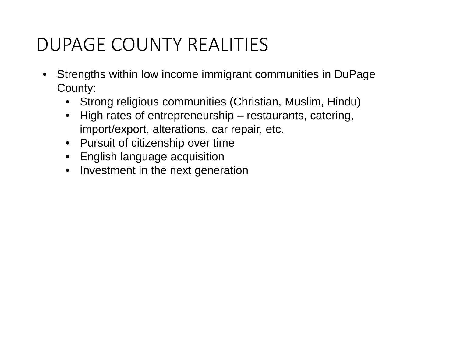- Strengths within low income immigrant communities in DuPage County:
	- Strong religious communities (Christian, Muslim, Hindu)
	- High rates of entrepreneurship restaurants, catering, import/export, alterations, car repair, etc.
	- Pursuit of citizenship over time
	- English language acquisition
	- Investment in the next generation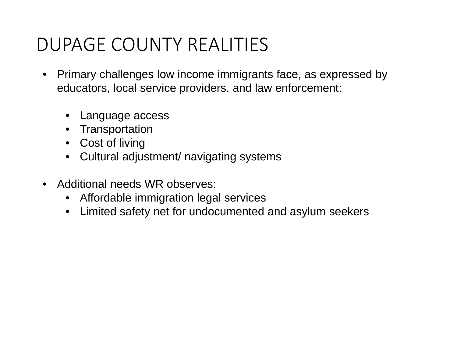- Primary challenges low income immigrants face, as expressed by educators, local service providers, and law enforcement:
	- Language access
	- Transportation
	- Cost of living
	- Cultural adjustment/ navigating systems
- Additional needs WR observes:
	- Affordable immigration legal services
	- Limited safety net for undocumented and asylum seekers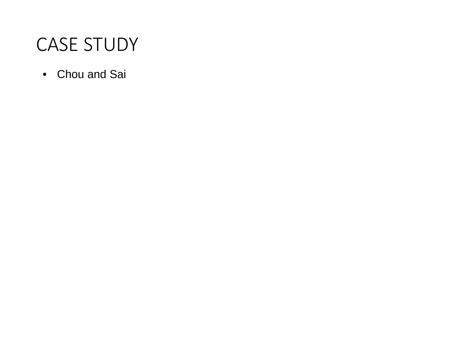#### CASE STUDY

• Chou and Sai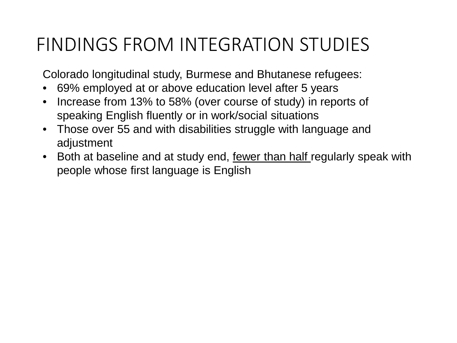### FINDINGS FROM INTEGRATION STUDIES

Colorado longitudinal study, Burmese and Bhutanese refugees:

- 69% employed at or above education level after 5 years
- Increase from 13% to 58% (over course of study) in reports of speaking English fluently or in work/social situations
- Those over 55 and with disabilities struggle with language and adjustment
- Both at baseline and at study end, fewer than half regularly speak with people whose first language is English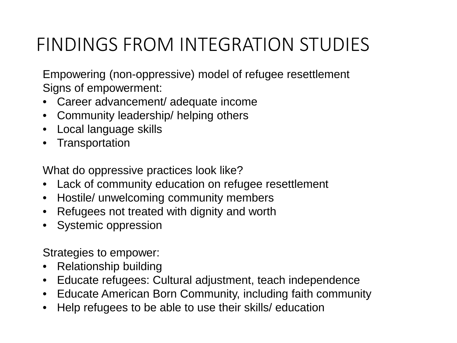## FINDINGS FROM INTEGRATION STUDIES

Empowering (non-oppressive) model of refugee resettlement Signs of empowerment:

- Career advancement/ adequate income
- Community leadership/ helping others
- Local language skills
- Transportation

What do oppressive practices look like?

- Lack of community education on refugee resettlement
- Hostile/ unwelcoming community members
- Refugees not treated with dignity and worth
- Systemic oppression

Strategies to empower:

- Relationship building
- Educate refugees: Cultural adjustment, teach independence
- Educate American Born Community, including faith community
- Help refugees to be able to use their skills/ education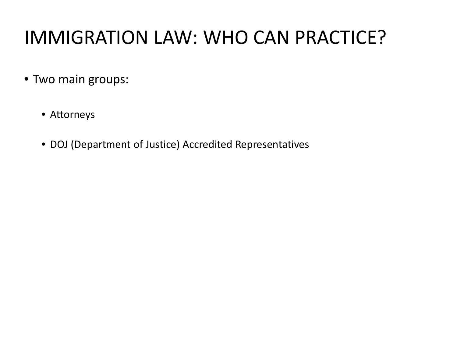## IMMIGRATION LAW: WHO CAN PRACTICE?

- Two main groups:
	- Attorneys
	- DOJ (Department of Justice) Accredited Representatives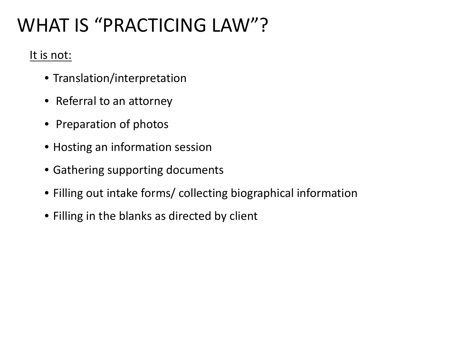# WHAT IS "PRACTICING LAW"?

#### It is not:

- Translation/interpretation
- Referral to an attorney
- Preparation of photos
- Hosting an information session
- Gathering supporting documents
- Filling out intake forms/ collecting biographical information
- Filling in the blanks as directed by client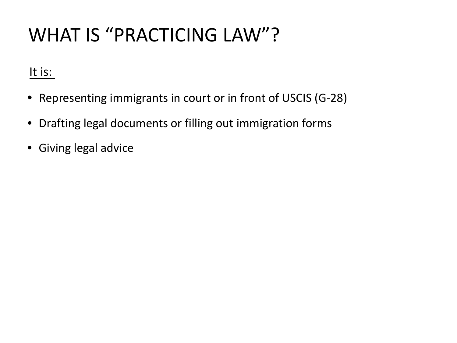## WHAT IS "PRACTICING LAW"?

It is:

- Representing immigrants in court or in front of USCIS (G-28)
- Drafting legal documents or filling out immigration forms
- Giving legal advice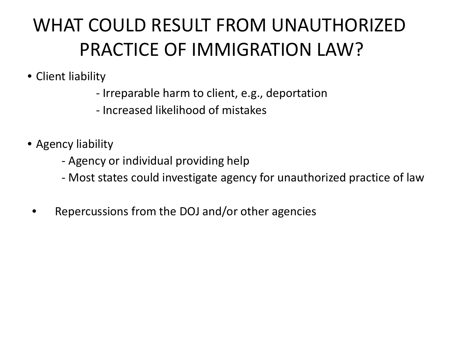# WHAT COULD RESULT FROM UNAUTHORIZED PRACTICE OF IMMIGRATION LAW?

- Client liability
	- Irreparable harm to client, e.g., deportation
	- Increased likelihood of mistakes
- Agency liability
	- Agency or individual providing help
	- Most states could investigate agency for unauthorized practice of law
	- Repercussions from the DOJ and/or other agencies